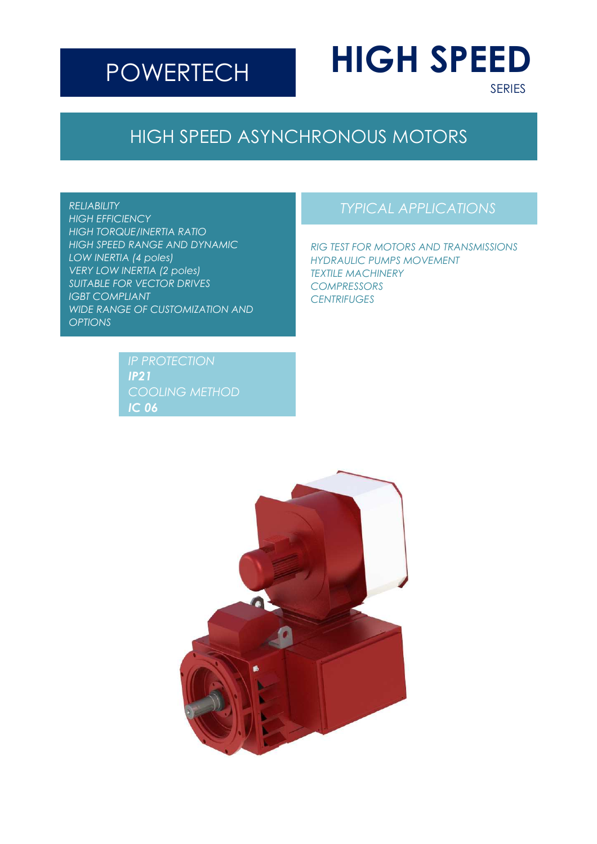# **POWERTECH**

# **HIGH SPEED**

SERIES

# HIGH SPEED ASYNCHRONOUS MOTORS

#### *RELIABILITY*

*HIGH EFFICIENCY HIGH TORQUE/INERTIA RATIO HIGH SPEED RANGE AND DYNAMIC LOW INERTIA (4 poles) VERY LOW INERTIA (2 poles) SUITABLE FOR VECTOR DRIVES IGBT COMPLIANT WIDE RANGE OF CUSTOMIZATION AND OPTIONS*

> *IP21 COOLING METHOD IC 06*

### *TYPICAL APPLICATIONS*

*RIG TEST FOR MOTORS AND TRANSMISSIONS HYDRAULIC PUMPS MOVEMENT TEXTILE MACHINERY COMPRESSORS CENTRIFUGES*